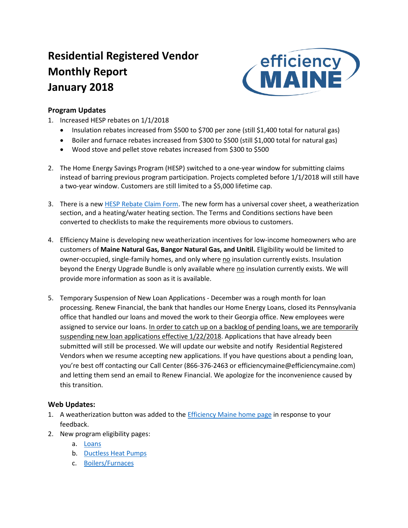# **Residential Registered Vendor Monthly Report January 2018**



# **Program Updates**

- 1. Increased HESP rebates on 1/1/2018
	- Insulation rebates increased from \$500 to \$700 per zone (still \$1,400 total for natural gas)
	- Boiler and furnace rebates increased from \$300 to \$500 (still \$1,000 total for natural gas)
	- Wood stove and pellet stove rebates increased from \$300 to \$500
- 2. The Home Energy Savings Program (HESP) switched to a one-year window for submitting claims instead of barring previous program participation. Projects completed before 1/1/2018 will still have a two-year window. Customers are still limited to a \$5,000 lifetime cap.
- 3. There is a new [HESP Rebate Claim Form.](http://r20.rs6.net/tn.jsp?f=001IWfMTGYwbQ8Jm-DdQEtrohnDK_RjAXsmOV_lfguzHI51jJIcbcGDaeeen5s9Co9eXJIZXsOoOY2eBtMo95H_-eSjWWrZKr_g2AVQpjpl7PRc4_xLxmncRHMQcfBr1L1fJrve4QVOADIoHye-glHyd1DMWewuBnwChP8kpGt6sNT0XIqu7inJxSZUZeK9ukvBW2U9olSg0OE4yB7W_5QhKrEMIpgxtnqnpnfqHb2ETdg=&c=qBBfzc3SSppzwimrr5rVeetjGvXigfp3RWXhVhQl1AMYAtmIPTI57Q==&ch=--opfZ0duaFiEUmmINbfhx283TJVQOCB6nXuGga330lnsNOSYTf1YA==) The new form has a universal cover sheet, a weatherization section, and a heating/water heating section. The Terms and Conditions sections have been converted to checklists to make the requirements more obvious to customers.
- 4. Efficiency Maine is developing new weatherization incentives for low-income homeowners who are customers of **Maine Natural Gas, Bangor Natural Gas, and Unitil.** Eligibility would be limited to owner-occupied, single-family homes, and only where no insulation currently exists. Insulation beyond the Energy Upgrade Bundle is only available where no insulation currently exists. We will provide more information as soon as it is available.
- 5. Temporary Suspension of New Loan Applications December was a rough month for loan processing. Renew Financial, the bank that handles our Home Energy Loans, closed its Pennsylvania office that handled our loans and moved the work to their Georgia office. New employees were assigned to service our loans. In order to catch up on a backlog of pending loans, we are temporarily suspending new loan applications effective 1/22/2018. Applications that have already been submitted will still be processed. We will update our website and notify Residential Registered Vendors when we resume accepting new applications. If you have questions about a pending loan, you're best off contacting our Call Center (866-376-2463 or efficiencymaine@efficiencymaine.com) and letting them send an email to Renew Financial. We apologize for the inconvenience caused by this transition.

# **Web Updates:**

- 1. A weatherization button was added to th[e Efficiency Maine home page](https://www.efficiencymaine.com/) in response to your feedback.
- 2. New program eligibility pages:
	- a. [Loans](https://www.efficiencymaine.com/at-home/energy-loans/)
	- b. [Ductless Heat Pumps](https://www.efficiencymaine.com/at-home/ductless-heat-pumps/)
	- c. [Boilers/Furnaces](https://www.efficiencymaine.com/at-home/boilers-and-furnaces/)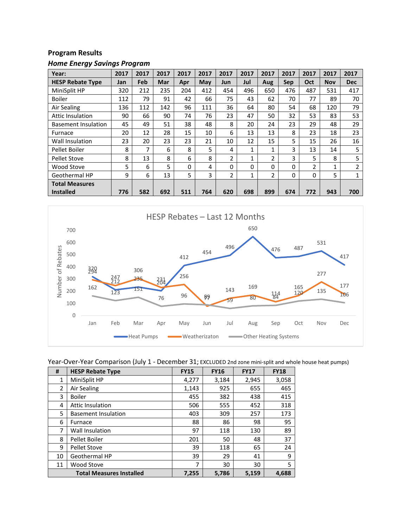# **Program Results**

| Year:                      | 2017 | 2017 | 2017 | 2017 | 2017 | 2017 | 2017         | 2017     | 2017       | 2017           | 2017       | 2017       |
|----------------------------|------|------|------|------|------|------|--------------|----------|------------|----------------|------------|------------|
| <b>HESP Rebate Type</b>    | Jan  | Feb  | Mar  | Apr  | May  | Jun  | Jul          | Aug      | <b>Sep</b> | Oct            | <b>Nov</b> | <b>Dec</b> |
| MiniSplit HP               | 320  | 212  | 235  | 204  | 412  | 454  | 496          | 650      | 476        | 487            | 531        | 417        |
| <b>Boiler</b>              | 112  | 79   | 91   | 42   | 66   | 75   | 43           | 62       | 70         | 77             | 89         | 70         |
| Air Sealing                | 136  | 112  | 142  | 96   | 111  | 36   | 64           | 80       | 54         | 68             | 120        | 79         |
| Attic Insulation           | 90   | 66   | 90   | 74   | 76   | 23   | 47           | 50       | 32         | 53             | 83         | 53         |
| <b>Basement Insulation</b> | 45   | 49   | 51   | 38   | 48   | 8    | 20           | 24       | 23         | 29             | 48         | 29         |
| Furnace                    | 20   | 12   | 28   | 15   | 10   | 6    | 13           | 13       | 8          | 23             | 18         | 23         |
| Wall Insulation            | 23   | 20   | 23   | 23   | 21   | 10   | 12           | 15       | 5          | 15             | 26         | 16         |
| Pellet Boiler              | 8    | 7    | 6    | 8    | 5    | 4    | 1            | 1        | 3          | 13             | 14         | 5          |
| <b>Pellet Stove</b>        | 8    | 13   | 8    | 6    | 8    | 2    | $\mathbf{1}$ | 2        | 3          | 5              | 8          | 5          |
| Wood Stove                 | 5    | 6    | 5    | 0    | 4    | 0    | 0            | $\Omega$ | $\Omega$   | $\overline{2}$ | 1          | 2          |
| Geothermal HP              | 9    | 6    | 13   | 5    | 3    | 2    | 1            | 2        | 0          | 0              | 5          | 4          |
| <b>Total Measures</b>      |      |      |      |      |      |      |              |          |            |                |            |            |
| <b>Installed</b>           | 776  | 582  | 692  | 511  | 764  | 620  | 698          | 899      | 674        | 772            | 943        | 700        |



#### Year-Over-Year Comparison (July 1 - December 31; EXCLUDED 2nd zone mini-split and whole house heat pumps)

| #              | <b>HESP Rebate Type</b>         | <b>FY15</b> | <b>FY16</b> | <b>FY17</b> | <b>FY18</b> |
|----------------|---------------------------------|-------------|-------------|-------------|-------------|
| 1              | MiniSplit HP                    | 4,277       | 3,184       | 2,945       | 3,058       |
| $\overline{2}$ | Air Sealing                     | 1,143       | 925         | 655         | 465         |
| 3              | <b>Boiler</b>                   | 455         | 382         | 438         | 415         |
| 4              | Attic Insulation                | 506         | 555         | 452         | 318         |
| 5              | <b>Basement Insulation</b>      | 403         | 309         | 257         | 173         |
| 6              | Furnace                         | 88          | 86          | 98          | 95          |
| 7              | Wall Insulation                 | 97          | 118         | 130         | 89          |
| 8              | Pellet Boiler                   | 201         | 50          | 48          | 37          |
| 9              | <b>Pellet Stove</b>             | 39          | 118         | 65          | 24          |
| 10             | Geothermal HP                   | 39          | 29          | 41          | 9           |
| 11             | <b>Wood Stove</b>               | 7           | 30          | 30          | 5           |
|                | <b>Total Measures Installed</b> | 7,255       | 5,786       | 5,159       | 4,688       |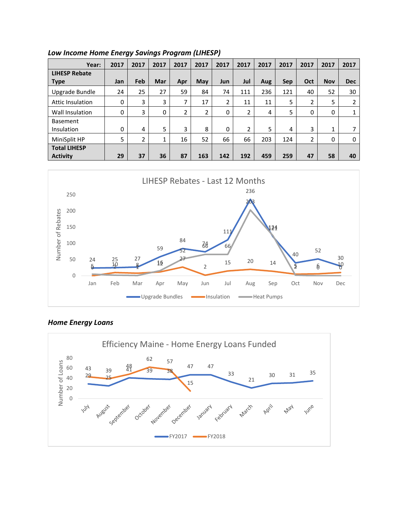| Year:                   | 2017 | 2017           | 2017 | 2017 | 2017           | 2017       | 2017 | 2017 | 2017       | 2017           | 2017       | 2017       |
|-------------------------|------|----------------|------|------|----------------|------------|------|------|------------|----------------|------------|------------|
| <b>LIHESP Rebate</b>    |      |                |      |      |                |            |      |      |            |                |            |            |
| <b>Type</b>             | Jan  | Feb            | Mar  | Apr  | May            | <b>Jun</b> | Jul  | Aug  | <b>Sep</b> | Oct            | <b>Nov</b> | <b>Dec</b> |
| Upgrade Bundle          | 24   | 25             | 27   | 59   | 84             | 74         | 111  | 236  | 121        | 40             | 52         | 30         |
| <b>Attic Insulation</b> | 0    | 3              | 3    | 7    | 17             | 2          | 11   | 11   | 5          | 2              | 5          | 2          |
| Wall Insulation         | 0    | 3              | 0    | 2    | $\overline{2}$ | 0          | 2    | 4    | 5          | 0              | 0          |            |
| <b>Basement</b>         |      |                |      |      |                |            |      |      |            |                |            |            |
| Insulation              | 0    | 4              | 5    | 3    | 8              | 0          | 2    | 5    | 4          | 3              | 1          |            |
| MiniSplit HP            | 5    | $\overline{2}$ | 1    | 16   | 52             | 66         | 66   | 203  | 124        | $\overline{2}$ | 0          | 0          |
| <b>Total LIHESP</b>     |      |                |      |      |                |            |      |      |            |                |            |            |
| <b>Activity</b>         | 29   | 37             | 36   | 87   | 163            | 142        | 192  | 459  | 259        | 47             | 58         | 40         |